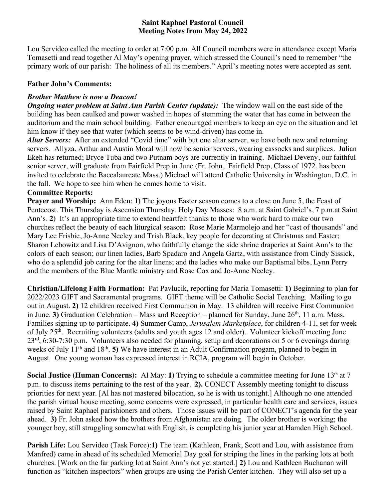## **Saint Raphael Pastoral Council Meeting Notes from May 24, 2022**

Lou Servideo called the meeting to order at 7:00 p.m. All Council members were in attendance except Maria Tomasetti and read together Al May's opening prayer, which stressed the Council's need to remember "the primary work of our parish: The holiness of all its members." April's meeting notes were accepted as sent.

## **Father John's Comments:**

## *Brother Matthew is now a Deacon!*

**Ongoing water problem at Saint Ann Parish Center (update):** The window wall on the east side of the building has been caulked and power washed in hopes of stemming the water that has come in between the auditorium and the main school building. Father encouraged members to keep an eye on the situation and let him know if they see that water (which seems to be wind-driven) has come in.

*Altar Servers:* After an extended "Covid time" with but one altar server, we have both new and returning servers. Allyza, Arthur and Austin Moral will now be senior servers, wearing cassocks and surplices. Julian Ekeh has returned; Bryce Tuba and two Putnam boys are currently in training. Michael Deveny, our faithful senior server, will graduate from Fairfield Prep in June (Fr. John, Fairfield Prep, Class of 1972, has been invited to celebrate the Baccalaureate Mass.) Michael will attend Catholic University in Washington, D.C. in the fall. We hope to see him when he comes home to visit.

## **Committee Reports:**

**Prayer and Worship:** Ann Eden: 1) The joyous Easter season comes to a close on June 5, the Feast of Pentecost. This Thursday is Ascension Thursday. Holy Day Masses: 8 a.m. at Saint Gabriel's, 7 p.m.at Saint Ann's. **2)** It's an appropriate time to extend heartfelt thanks to those who work hard to make our two churches reflect the beauty of each liturgical season: Rose Marie Marmolejo and her "cast of thousands" and Mary Lee Frisbie, Jo-Anne Neeley and Trish Black, key people for decorating at Christmas and Easter; Sharon Lebowitz and Lisa D'Avignon, who faithfully change the side shrine draperies at Saint Ann's to the colors of each season; our linen ladies, Barb Spadaro and Angela Gartz, with assistance from Cindy Sissick, who do a splendid job caring for the altar linens; and the ladies who make our Baptismal bibs, Lynn Perry and the members of the Blue Mantle ministry and Rose Cox and Jo-Anne Neeley.

**Christian/Lifelong Faith Formation:** Pat Pavlucik, reporting for Maria Tomasetti: **1)** Beginning to plan for 2022/2023 GIFT and Sacramental programs. GIFT theme will be Catholic Social Teaching. Mailing to go out in August. **2)** 12 children received First Communion in May. 13 children will receive First Communion in June. **3**) Graduation Celebration – Mass and Reception – planned for Sunday, June  $26<sup>th</sup>$ , 11 a.m. Mass. Families signing up to participate. **4)** Summer Camp, *Jerusalem Marketplace*, for children 4-11, set for week of July 25th. Recruiting volunteers (adults and youth ages 12 and older). Volunteer kickoff meeting June 23rd, 6:30-7:30 p.m. Volunteers also needed for planning, setup and decorations on 5 or 6 evenings during weeks of July 11<sup>th</sup> and 18<sup>th</sup>. **5)** We have interest in an Adult Confirmation progam, planned to begin in August. One young woman has expressed interest in RCIA, program will begin in October.

**Social Justice (Human Concerns):** Al May: 1) Trying to schedule a committee meeting for June 13<sup>th</sup> at 7 p.m. to discuss items pertaining to the rest of the year. **2).** CONECT Assembly meeting tonight to discuss priorities for next year. [Al has not mastered bilocation, so he is with us tonight.] Although no one attended the parish virtual house meeting, some concerns were expressed, in particular health care and services, issues raised by Saint Raphael parishioners and others. Those issues will be part of CONECT's agenda for the year ahead. **3)** Fr. John asked how the brothers from Afghanistan are doing. The older brother is working; the younger boy, still struggling somewhat with English, is completing his junior year at Hamden High School.

**Parish Life:** Lou Servideo (Task Force):**1)** The team (Kathleen, Frank, Scott and Lou, with assistance from Manfred) came in ahead of its scheduled Memorial Day goal for striping the lines in the parking lots at both churches. [Work on the far parking lot at Saint Ann's not yet started.] **2)** Lou and Kathleen Buchanan will function as "kitchen inspectors" when groups are using the Parish Center kitchen. They will also set up a